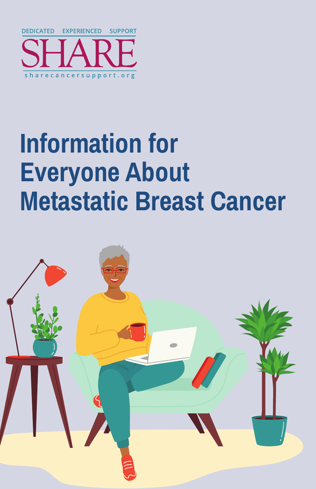

# **Information for Everyone About Metastatic Breast Cancer**

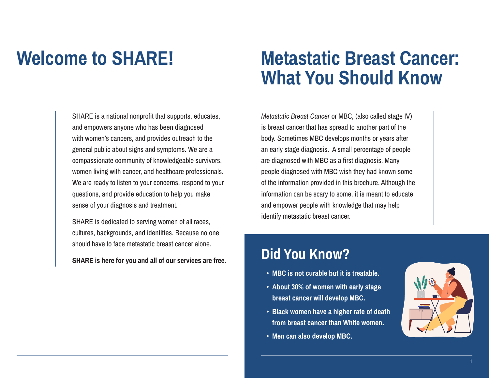SHARE is a national nonprofit that supports, educates, and empowers anyone who has been diagnosed with women's cancers, and provides outreach to the general public about signs and symptoms. We are a compassionate community of knowledgeable survivors, women living with cancer, and healthcare professionals. We are ready to listen to your concerns, respond to your questions, and provide education to help you make sense of your diagnosis and treatment.

SHARE is dedicated to serving women of all races, cultures, backgrounds, and identities. Because no one should have to face metastatic breast cancer alone.

**SHARE is here for you and all of our services are free.**

### **Welcome to SHARE! Metastatic Breast Cancer: What You Should Know**

*Metastatic Breast Cancer* or MBC, (also called stage IV) is breast cancer that has spread to another part of the body. Sometimes MBC develops months or years after an early stage diagnosis. A small percentage of people are diagnosed with MBC as a first diagnosis. Many people diagnosed with MBC wish they had known some of the information provided in this brochure. Although the information can be scary to some, it is meant to educate and empower people with knowledge that may help identify metastatic breast cancer.

### **Did You Know?**

- **• MBC is not curable but it is treatable.**
- **• About 30% of women with early stage breast cancer will develop MBC.**
- **• Black women have a higher rate of death from breast cancer than White women.**
- **• Men can also develop MBC.**

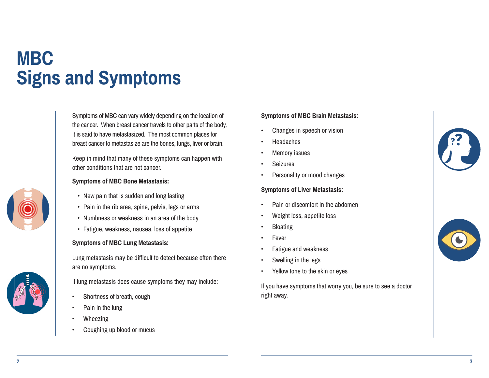# **MBC Signs and Symptoms**

Symptoms of MBC can vary widely depending on the location of the cancer. When breast cancer travels to other parts of the body, it is said to have metastasized. The most common places for breast cancer to metastasize are the bones, lungs, liver or brain.

Keep in mind that many of these symptoms can happen with other conditions that are not cancer.

#### **Symptoms of MBC Bone Metastasis:**

- New pain that is sudden and long lasting
- Pain in the rib area, spine, pelvis, legs or arms
- Numbness or weakness in an area of the body
- Fatigue, weakness, nausea, loss of appetite

#### **Symptoms of MBC Lung Metastasis:**

Lung metastasis may be difficult to detect because often there are no symptoms.

If lung metastasis does cause symptoms they may include:

- Shortness of breath, cough
- Pain in the lung
- **Wheezing**
- Coughing up blood or mucus

### **Symptoms of MBC Brain Metastasis:**

- Changes in speech or vision
- Headaches
- **Memory issues**
- **Seizures**
- Personality or mood changes

#### **Symptoms of Liver Metastasis:**

- Pain or discomfort in the abdomen
- Weight loss, appetite loss
- Bloating
- **Fever**
- Fatigue and weakness
- Swelling in the legs
- Yellow tone to the skin or eyes

If you have symptoms that worry you, be sure to see a doctor right away.



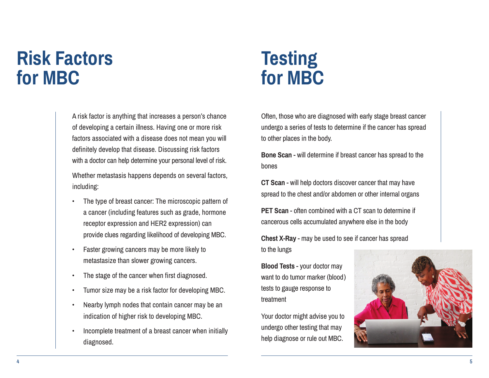## **Risk Factors for MBC**

A risk factor is anything that increases a person's chance of developing a certain illness. Having one or more risk factors associated with a disease does not mean you will definitely develop that disease. Discussing risk factors with a doctor can help determine your personal level of risk.

Whether metastasis happens depends on several factors, including:

- The type of breast cancer: The microscopic pattern of a cancer (including features such as grade, hormone receptor expression and HER2 expression) can provide clues regarding likelihood of developing MBC.
- Faster growing cancers may be more likely to metastasize than slower growing cancers.
- The stage of the cancer when first diagnosed.
- Tumor size may be a risk factor for developing MBC.
- Nearby lymph nodes that contain cancer may be an indication of higher risk to developing MBC.
- Incomplete treatment of a breast cancer when initially diagnosed.

## **Testing for MBC**

Often, those who are diagnosed with early stage breast cancer undergo a series of tests to determine if the cancer has spread to other places in the body.

**Bone Scan** - will determine if breast cancer has spread to the bones

**CT Scan** - will help doctors discover cancer that may have spread to the chest and/or abdomen or other internal organs

**PET Scan** - often combined with a CT scan to determine if cancerous cells accumulated anywhere else in the body

**Chest X-Ray** - may be used to see if cancer has spread to the lungs

**Blood Tests** - your doctor may want to do tumor marker (blood) tests to gauge response to treatment

Your doctor might advise you to undergo other testing that may help diagnose or rule out MBC.